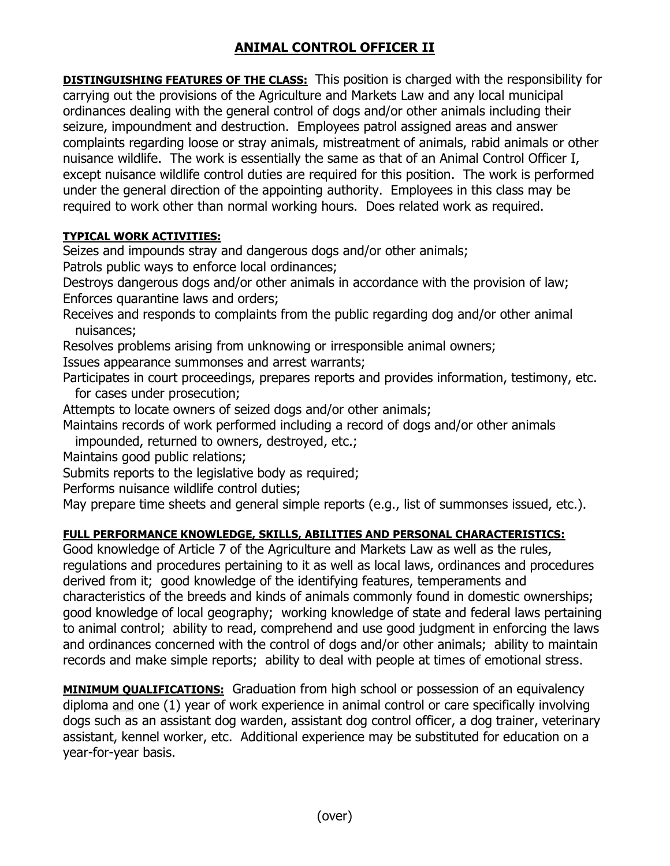## ANIMAL CONTROL OFFICER II

DISTINGUISHING FEATURES OF THE CLASS: This position is charged with the responsibility for carrying out the provisions of the Agriculture and Markets Law and any local municipal ordinances dealing with the general control of dogs and/or other animals including their seizure, impoundment and destruction. Employees patrol assigned areas and answer complaints regarding loose or stray animals, mistreatment of animals, rabid animals or other nuisance wildlife. The work is essentially the same as that of an Animal Control Officer I, except nuisance wildlife control duties are required for this position. The work is performed under the general direction of the appointing authority. Employees in this class may be required to work other than normal working hours. Does related work as required.

## TYPICAL WORK ACTIVITIES:

Seizes and impounds stray and dangerous dogs and/or other animals;

Patrols public ways to enforce local ordinances;

Destroys dangerous dogs and/or other animals in accordance with the provision of law; Enforces quarantine laws and orders;

Receives and responds to complaints from the public regarding dog and/or other animal nuisances;

Resolves problems arising from unknowing or irresponsible animal owners;

Issues appearance summonses and arrest warrants;

Participates in court proceedings, prepares reports and provides information, testimony, etc. for cases under prosecution;

Attempts to locate owners of seized dogs and/or other animals;

Maintains records of work performed including a record of dogs and/or other animals

impounded, returned to owners, destroyed, etc.;

Maintains good public relations;

Submits reports to the legislative body as required;

Performs nuisance wildlife control duties;

May prepare time sheets and general simple reports (e.g., list of summonses issued, etc.).

## FULL PERFORMANCE KNOWLEDGE, SKILLS, ABILITIES AND PERSONAL CHARACTERISTICS:

Good knowledge of Article 7 of the Agriculture and Markets Law as well as the rules, regulations and procedures pertaining to it as well as local laws, ordinances and procedures derived from it; good knowledge of the identifying features, temperaments and characteristics of the breeds and kinds of animals commonly found in domestic ownerships; good knowledge of local geography; working knowledge of state and federal laws pertaining to animal control; ability to read, comprehend and use good judgment in enforcing the laws and ordinances concerned with the control of dogs and/or other animals; ability to maintain records and make simple reports; ability to deal with people at times of emotional stress.

**MINIMUM QUALIFICATIONS:** Graduation from high school or possession of an equivalency diploma and one (1) year of work experience in animal control or care specifically involving dogs such as an assistant dog warden, assistant dog control officer, a dog trainer, veterinary assistant, kennel worker, etc. Additional experience may be substituted for education on a year-for-year basis.